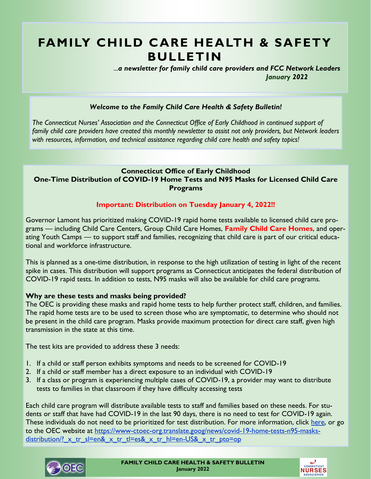## **FAMILY CHILD CARE HEALTH & SAFETY BULLETIN**

 *...a newsletter for family child care providers and FCC Network Leaders January 2022* 

### *Welcome to the Family Child Care Health & Safety Bulletin!*

*The Connecticut Nurses' Association and the Connecticut Office of Early Childhood in continued support of family child care providers have created this monthly newsletter to assist not only providers, but Network leaders with resources, information, and technical assistance regarding child care health and safety topics!* 

## **Connecticut Office of Early Childhood One-Time Distribution of COVID-19 Home Tests and N95 Masks for Licensed Child Care Programs**

### **Important: Distribution on Tuesday January 4, 2022!!**

Governor Lamont has prioritized making COVID-19 rapid home tests available to licensed child care programs — including Child Care Centers, Group Child Care Homes, **Family Child Care Homes**, and operating Youth Camps — to support staff and families, recognizing that child care is part of our critical educational and workforce infrastructure.

This is planned as a one-time distribution, in response to the high utilization of testing in light of the recent spike in cases. This distribution will support programs as Connecticut anticipates the federal distribution of COVID-19 rapid tests. In addition to tests, N95 masks will also be available for child care programs.

### **Why are these tests and masks being provided?**

The OEC is providing these masks and rapid home tests to help further protect staff, children, and families. The rapid home tests are to be used to screen those who are symptomatic, to determine who should not be present in the child care program. Masks provide maximum protection for direct care staff, given high transmission in the state at this time.

The test kits are provided to address these 3 needs:

- 1. If a child or staff person exhibits symptoms and needs to be screened for COVID-19
- 2. If a child or staff member has a direct exposure to an individual with COVID-19
- 3. If a class or program is experiencing multiple cases of COVID-19, a provider may want to distribute tests to families in that classroom if they have difficulty accessing tests

Each child care program will distribute available tests to staff and families based on these needs. For students or staff that have had COVID-19 in the last 90 days, there is no need to test for COVID-19 again. These individuals do not need to be prioritized for test distribution. For more information, click [here,](https://www-ctoec-org.translate.goog/news/covid-19-home-tests-n95-masks-distribution/?_x_tr_sl=en&_x_tr_tl=es&_x_tr_hl=en-US&_x_tr_pto=op) or go to the OEC website at [https://www-ctoec-org.translate.goog/news/covid-19-home-tests-n95-masks](https://www-ctoec-org.translate.goog/news/covid-19-home-tests-n95-masks-distribution/?_x_tr_sl=en&_x_tr_tl=es&_x_tr_hl=en-US&_x_tr_pto=op)distribution/? x tr\_sl=en&\_x\_tr\_tl=es&\_x\_tr\_hl=en-US&\_x\_tr\_pto=op